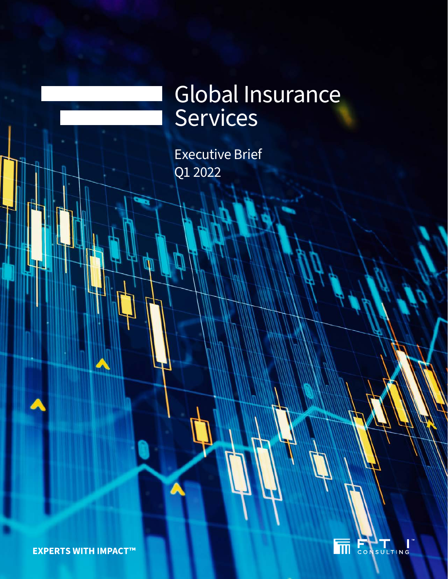# Global Insurance Services

Executive Brief Q1 2022

Ŵ



**EXPERTS WITH IMPACT™**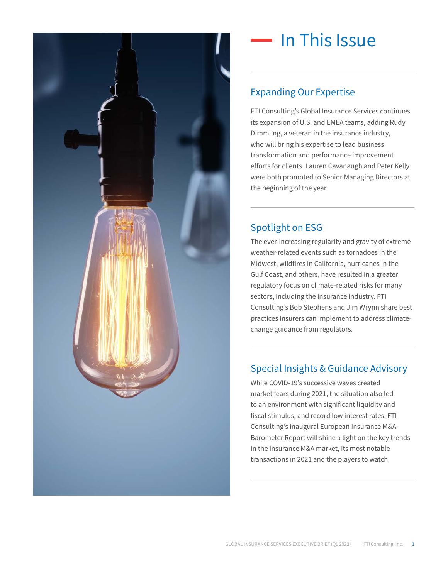

### In This Issue

### Expanding Our Expertise

FTI Consulting's Global Insurance Services continues its expansion of U.S. and EMEA teams, adding Rudy Dimmling, a veteran in the insurance industry, who will bring his expertise to lead business transformation and performance improvement efforts for clients. Lauren Cavanaugh and Peter Kelly were both promoted to Senior Managing Directors at the beginning of the year.

#### Spotlight on ESG

The ever-increasing regularity and gravity of extreme weather-related events such as tornadoes in the Midwest, wildfires in California, hurricanes in the Gulf Coast, and others, have resulted in a greater regulatory focus on climate-related risks for many sectors, including the insurance industry. FTI Consulting's Bob Stephens and Jim Wrynn share best practices insurers can implement to address climatechange guidance from regulators.

#### Special Insights & Guidance Advisory

While COVID-19's successive waves created market fears during 2021, the situation also led to an environment with significant liquidity and fiscal stimulus, and record low interest rates. FTI Consulting's inaugural European Insurance M&A Barometer Report will shine a light on the key trends in the insurance M&A market, its most notable transactions in 2021 and the players to watch.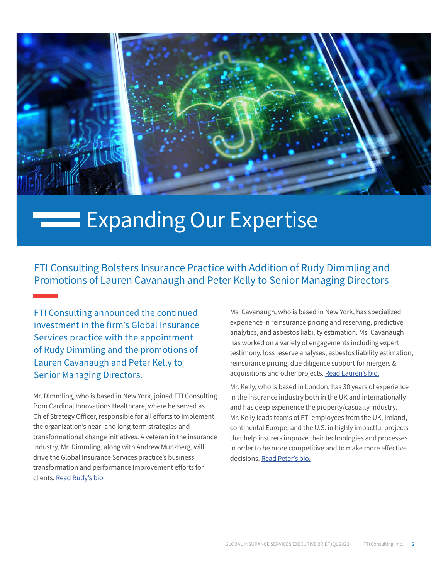

### **Expanding Our Expertise**

FTI Consulting Bolsters Insurance Practice with Addition of Rudy Dimmling and Promotions of Lauren Cavanaugh and Peter Kelly to Senior Managing Directors

FTI Consulting announced the continued investment in the firm's Global Insurance Services practice with the appointment of Rudy Dimmling and the promotions of Lauren Cavanaugh and Peter Kelly to Senior Managing Directors.

Mr. Dimmling, who is based in New York, joined FTI Consulting from Cardinal Innovations Healthcare, where he served as Chief Strategy Officer, responsible for all efforts to implement the organization's near- and long-term strategies and transformational change initiatives. A veteran in the insurance industry, Mr. Dimmling, along with Andrew Munzberg, will drive the Global Insurance Services practice's business transformation and performance improvement efforts for clients. [Read Rudy's bio.](https://www.fticonsulting.com/experts/rudy-dimmling)

Ms. Cavanaugh, who is based in New York, has specialized experience in reinsurance pricing and reserving, predictive analytics, and asbestos liability estimation. Ms. Cavanaugh has worked on a variety of engagements including expert testimony, loss reserve analyses, asbestos liability estimation, reinsurance pricing, due diligence support for mergers & acquisitions and other projects. [Read Lauren's bio.](https://www.fticonsulting.com/experts/lauren-cavanaugh)

Mr. Kelly, who is based in London, has 30 years of experience in the insurance industry both in the UK and internationally and has deep experience the property/casualty industry. Mr. Kelly leads teams of FTI employees from the UK, Ireland, continental Europe, and the U.S. in highly impactful projects that help insurers improve their technologies and processes in order to be more competitive and to make more effective decisions. [Read Peter's bio.](https://www.fticonsulting.com/experts/peter-kelly)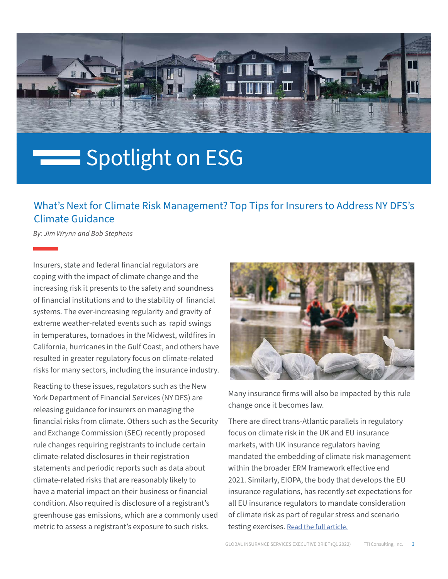

# Spotlight on ESG

### What's Next for Climate Risk Management? Top Tips for Insurers to Address NY DFS's Climate Guidance

*By: Jim Wrynn and Bob Stephens*

Insurers, state and federal financial regulators are coping with the impact of climate change and the increasing risk it presents to the safety and soundness of financial institutions and to the stability of financial systems. The ever-increasing regularity and gravity of extreme weather-related events such as rapid swings in temperatures, tornadoes in the Midwest, wildfires in California, hurricanes in the Gulf Coast, and others have resulted in greater regulatory focus on climate-related risks for many sectors, including the insurance industry.

Reacting to these issues, regulators such as the New York Department of Financial Services (NY DFS) are releasing guidance for insurers on managing the financial risks from climate. Others such as the Security and Exchange Commission (SEC) recently proposed rule changes requiring registrants to include certain climate-related disclosures in their registration statements and periodic reports such as data about climate-related risks that are reasonably likely to have a material impact on their business or financial condition. Also required is disclosure of a registrant's greenhouse gas emissions, which are a commonly used metric to assess a registrant's exposure to such risks.



Many insurance firms will also be impacted by this rule change once it becomes law.

There are direct trans-Atlantic parallels in regulatory focus on climate risk in the UK and EU insurance markets, with UK insurance regulators having mandated the embedding of climate risk management within the broader ERM framework effective end 2021. Similarly, EIOPA, the body that develops the EU insurance regulations, has recently set expectations for all EU insurance regulators to mandate consideration of climate risk as part of regular stress and scenario testing exercises. [Read the full article.](https://www.fticonsulting.com/insights/articles/whats-next-climate-risk-management-top-tips-insurers-address-ny-dfs-climate-guidance)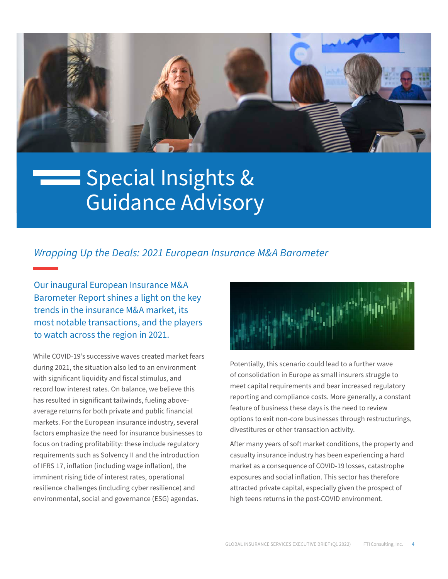

### Special Insights & Guidance Advisory

#### *Wrapping Up the Deals: 2021 European Insurance M&A Barometer*

Our inaugural European Insurance M&A Barometer Report shines a light on the key trends in the insurance M&A market, its most notable transactions, and the players to watch across the region in 2021.

While COVID-19's successive waves created market fears during 2021, the situation also led to an environment with significant liquidity and fiscal stimulus, and record low interest rates. On balance, we believe this has resulted in significant tailwinds, fueling aboveaverage returns for both private and public financial markets. For the European insurance industry, several factors emphasize the need for insurance businesses to focus on trading profitability: these include regulatory requirements such as Solvency II and the introduction of IFRS 17, inflation (including wage inflation), the imminent rising tide of interest rates, operational resilience challenges (including cyber resilience) and environmental, social and governance (ESG) agendas.



Potentially, this scenario could lead to a further wave of consolidation in Europe as small insurers struggle to meet capital requirements and bear increased regulatory reporting and compliance costs. More generally, a constant feature of business these days is the need to review options to exit non-core businesses through restructurings, divestitures or other transaction activity.

After many years of soft market conditions, the property and casualty insurance industry has been experiencing a hard market as a consequence of COVID-19 losses, catastrophe exposures and social inflation. This sector has therefore attracted private capital, especially given the prospect of high teens returns in the post-COVID environment.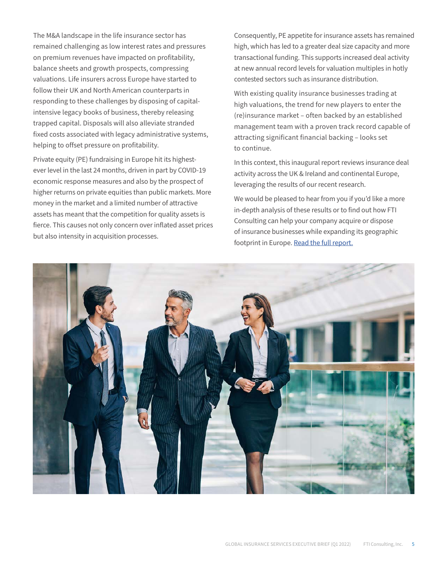The M&A landscape in the life insurance sector has remained challenging as low interest rates and pressures on premium revenues have impacted on profitability, balance sheets and growth prospects, compressing valuations. Life insurers across Europe have started to follow their UK and North American counterparts in responding to these challenges by disposing of capitalintensive legacy books of business, thereby releasing trapped capital. Disposals will also alleviate stranded fixed costs associated with legacy administrative systems, helping to offset pressure on profitability.

Private equity (PE) fundraising in Europe hit its highestever level in the last 24 months, driven in part by COVID-19 economic response measures and also by the prospect of higher returns on private equities than public markets. More money in the market and a limited number of attractive assets has meant that the competition for quality assets is fierce. This causes not only concern over inflated asset prices but also intensity in acquisition processes.

Consequently, PE appetite for insurance assets has remained high, which has led to a greater deal size capacity and more transactional funding. This supports increased deal activity at new annual record levels for valuation multiples in hotly contested sectors such as insurance distribution.

With existing quality insurance businesses trading at high valuations, the trend for new players to enter the (re)insurance market – often backed by an established management team with a proven track record capable of attracting significant financial backing – looks set to continue.

In this context, this inaugural report reviews insurance deal activity across the UK & Ireland and continental Europe, leveraging the results of our recent research.

We would be pleased to hear from you if you'd like a more in-depth analysis of these results or to find out how FTI Consulting can help your company acquire or dispose of insurance businesses while expanding its geographic footprint in Europe. [Read the full report.](https://live.fticonsulting.com/mnabarometer21?utm_source=ftidotcom&utm_medium=website&utm_campaign=gbr-flc-feb-28-2022-lead-mnabarometer)